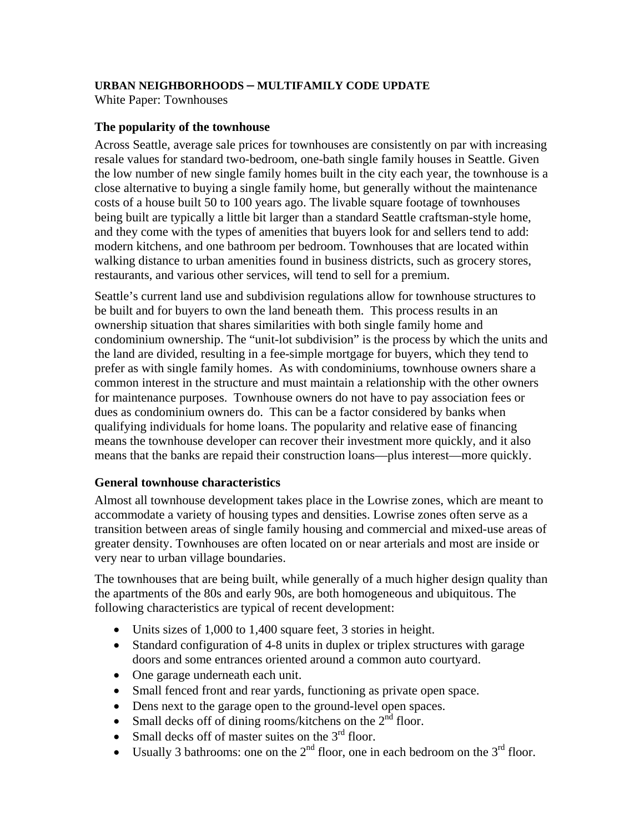### **URBAN NEIGHBORHOODS – MULTIFAMILY CODE UPDATE**

White Paper: Townhouses

### **The popularity of the townhouse**

Across Seattle, average sale prices for townhouses are consistently on par with increasing resale values for standard two-bedroom, one-bath single family houses in Seattle. Given the low number of new single family homes built in the city each year, the townhouse is a close alternative to buying a single family home, but generally without the maintenance costs of a house built 50 to 100 years ago. The livable square footage of townhouses being built are typically a little bit larger than a standard Seattle craftsman-style home, and they come with the types of amenities that buyers look for and sellers tend to add: modern kitchens, and one bathroom per bedroom. Townhouses that are located within walking distance to urban amenities found in business districts, such as grocery stores, restaurants, and various other services, will tend to sell for a premium.

Seattle's current land use and subdivision regulations allow for townhouse structures to be built and for buyers to own the land beneath them. This process results in an ownership situation that shares similarities with both single family home and condominium ownership. The "unit-lot subdivision" is the process by which the units and the land are divided, resulting in a fee-simple mortgage for buyers, which they tend to prefer as with single family homes. As with condominiums, townhouse owners share a common interest in the structure and must maintain a relationship with the other owners for maintenance purposes. Townhouse owners do not have to pay association fees or dues as condominium owners do. This can be a factor considered by banks when qualifying individuals for home loans. The popularity and relative ease of financing means the townhouse developer can recover their investment more quickly, and it also means that the banks are repaid their construction loans—plus interest—more quickly.

# **General townhouse characteristics**

Almost all townhouse development takes place in the Lowrise zones, which are meant to accommodate a variety of housing types and densities. Lowrise zones often serve as a transition between areas of single family housing and commercial and mixed-use areas of greater density. Townhouses are often located on or near arterials and most are inside or very near to urban village boundaries.

The townhouses that are being built, while generally of a much higher design quality than the apartments of the 80s and early 90s, are both homogeneous and ubiquitous. The following characteristics are typical of recent development:

- Units sizes of 1,000 to 1,400 square feet, 3 stories in height.
- Standard configuration of 4-8 units in duplex or triplex structures with garage doors and some entrances oriented around a common auto courtyard.
- One garage underneath each unit.
- Small fenced front and rear yards, functioning as private open space.
- Dens next to the garage open to the ground-level open spaces.
- Small decks off of dining rooms/kitchens on the  $2<sup>nd</sup>$  floor.
- Small decks off of master suites on the  $3<sup>rd</sup>$  floor.
- Usually 3 bathrooms: one on the  $2^{nd}$  floor, one in each bedroom on the  $3^{rd}$  floor.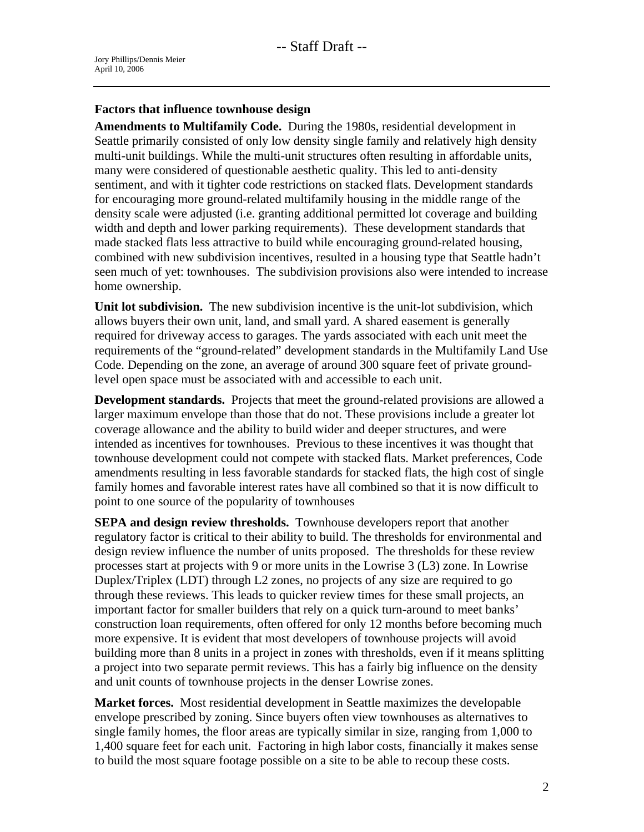### **Factors that influence townhouse design**

**Amendments to Multifamily Code.** During the 1980s, residential development in Seattle primarily consisted of only low density single family and relatively high density multi-unit buildings. While the multi-unit structures often resulting in affordable units, many were considered of questionable aesthetic quality. This led to anti-density sentiment, and with it tighter code restrictions on stacked flats. Development standards for encouraging more ground-related multifamily housing in the middle range of the density scale were adjusted (i.e. granting additional permitted lot coverage and building width and depth and lower parking requirements). These development standards that made stacked flats less attractive to build while encouraging ground-related housing, combined with new subdivision incentives, resulted in a housing type that Seattle hadn't seen much of yet: townhouses. The subdivision provisions also were intended to increase home ownership.

**Unit lot subdivision.** The new subdivision incentive is the unit-lot subdivision, which allows buyers their own unit, land, and small yard. A shared easement is generally required for driveway access to garages. The yards associated with each unit meet the requirements of the "ground-related" development standards in the Multifamily Land Use Code. Depending on the zone, an average of around 300 square feet of private groundlevel open space must be associated with and accessible to each unit.

**Development standards.** Projects that meet the ground-related provisions are allowed a larger maximum envelope than those that do not. These provisions include a greater lot coverage allowance and the ability to build wider and deeper structures, and were intended as incentives for townhouses. Previous to these incentives it was thought that townhouse development could not compete with stacked flats. Market preferences, Code amendments resulting in less favorable standards for stacked flats, the high cost of single family homes and favorable interest rates have all combined so that it is now difficult to point to one source of the popularity of townhouses

**SEPA and design review thresholds.** Townhouse developers report that another regulatory factor is critical to their ability to build. The thresholds for environmental and design review influence the number of units proposed. The thresholds for these review processes start at projects with 9 or more units in the Lowrise 3 (L3) zone. In Lowrise Duplex/Triplex (LDT) through L2 zones, no projects of any size are required to go through these reviews. This leads to quicker review times for these small projects, an important factor for smaller builders that rely on a quick turn-around to meet banks' construction loan requirements, often offered for only 12 months before becoming much more expensive. It is evident that most developers of townhouse projects will avoid building more than 8 units in a project in zones with thresholds, even if it means splitting a project into two separate permit reviews. This has a fairly big influence on the density and unit counts of townhouse projects in the denser Lowrise zones.

**Market forces.** Most residential development in Seattle maximizes the developable envelope prescribed by zoning. Since buyers often view townhouses as alternatives to single family homes, the floor areas are typically similar in size, ranging from 1,000 to 1,400 square feet for each unit. Factoring in high labor costs, financially it makes sense to build the most square footage possible on a site to be able to recoup these costs.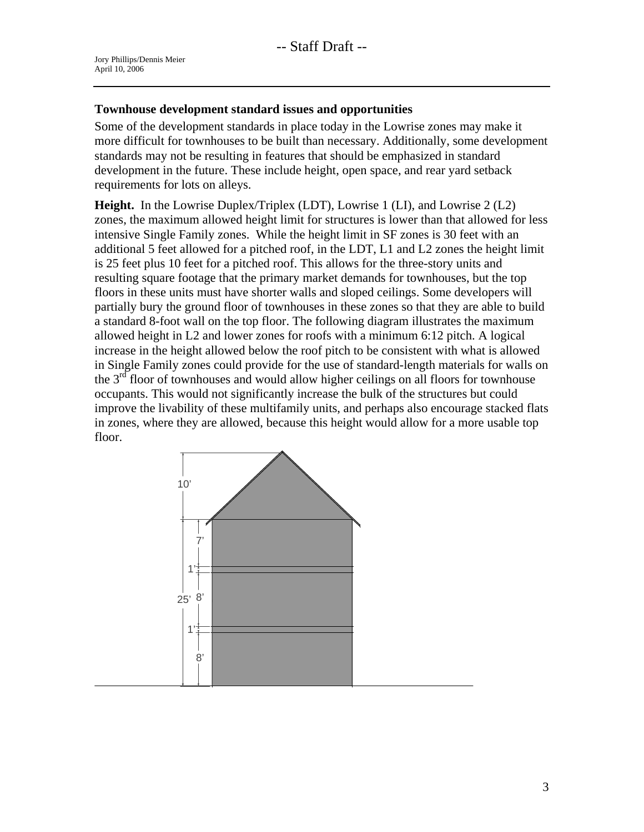## **Townhouse development standard issues and opportunities**

Some of the development standards in place today in the Lowrise zones may make it more difficult for townhouses to be built than necessary. Additionally, some development standards may not be resulting in features that should be emphasized in standard development in the future. These include height, open space, and rear yard setback requirements for lots on alleys.

**Height.** In the Lowrise Duplex/Triplex (LDT), Lowrise 1 (LI), and Lowrise 2 (L2) zones, the maximum allowed height limit for structures is lower than that allowed for less intensive Single Family zones. While the height limit in SF zones is 30 feet with an additional 5 feet allowed for a pitched roof, in the LDT, L1 and L2 zones the height limit is 25 feet plus 10 feet for a pitched roof. This allows for the three-story units and resulting square footage that the primary market demands for townhouses, but the top floors in these units must have shorter walls and sloped ceilings. Some developers will partially bury the ground floor of townhouses in these zones so that they are able to build a standard 8-foot wall on the top floor. The following diagram illustrates the maximum allowed height in L2 and lower zones for roofs with a minimum 6:12 pitch. A logical increase in the height allowed below the roof pitch to be consistent with what is allowed in Single Family zones could provide for the use of standard-length materials for walls on the  $3<sup>rd</sup>$  floor of townhouses and would allow higher ceilings on all floors for townhouse occupants. This would not significantly increase the bulk of the structures but could improve the livability of these multifamily units, and perhaps also encourage stacked flats in zones, where they are allowed, because this height would allow for a more usable top floor.

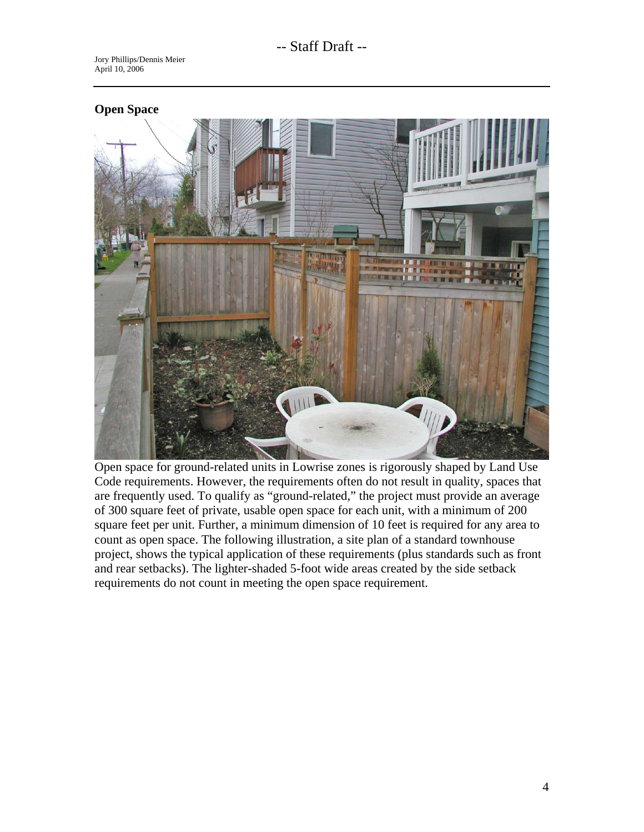# **Open Space**  IIII

Open space for ground-related units in Lowrise zones is rigorously shaped by Land Use Code requirements. However, the requirements often do not result in quality, spaces that are frequently used. To qualify as "ground-related," the project must provide an average of 300 square feet of private, usable open space for each unit, with a minimum of 200 square feet per unit. Further, a minimum dimension of 10 feet is required for any area to count as open space. The following illustration, a site plan of a standard townhouse project, shows the typical application of these requirements (plus standards such as front and rear setbacks). The lighter-shaded 5-foot wide areas created by the side setback requirements do not count in meeting the open space requirement.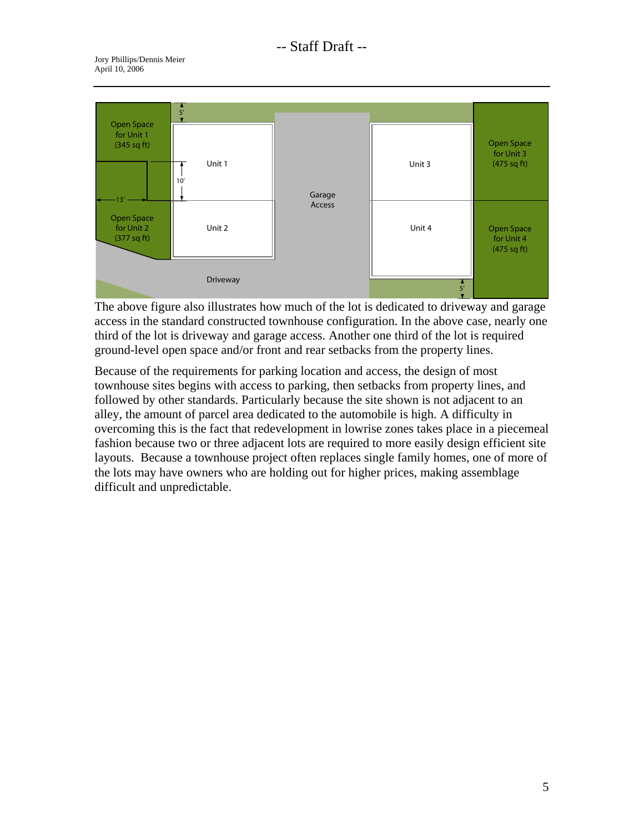

The above figure also illustrates how much of the lot is dedicated to driveway and garage access in the standard constructed townhouse configuration. In the above case, nearly one third of the lot is driveway and garage access. Another one third of the lot is required ground-level open space and/or front and rear setbacks from the property lines.

Because of the requirements for parking location and access, the design of most townhouse sites begins with access to parking, then setbacks from property lines, and followed by other standards. Particularly because the site shown is not adjacent to an alley, the amount of parcel area dedicated to the automobile is high. A difficulty in overcoming this is the fact that redevelopment in lowrise zones takes place in a piecemeal fashion because two or three adjacent lots are required to more easily design efficient site layouts. Because a townhouse project often replaces single family homes, one of more of the lots may have owners who are holding out for higher prices, making assemblage difficult and unpredictable.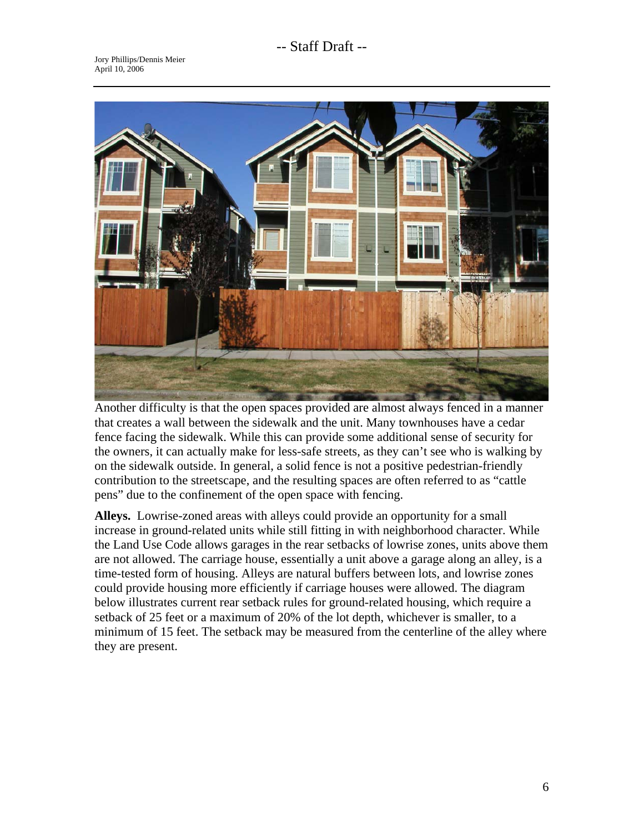# -- Staff Draft --



Another difficulty is that the open spaces provided are almost always fenced in a manner that creates a wall between the sidewalk and the unit. Many townhouses have a cedar fence facing the sidewalk. While this can provide some additional sense of security for the owners, it can actually make for less-safe streets, as they can't see who is walking by on the sidewalk outside. In general, a solid fence is not a positive pedestrian-friendly contribution to the streetscape, and the resulting spaces are often referred to as "cattle pens" due to the confinement of the open space with fencing.

**Alleys.** Lowrise-zoned areas with alleys could provide an opportunity for a small increase in ground-related units while still fitting in with neighborhood character. While the Land Use Code allows garages in the rear setbacks of lowrise zones, units above them are not allowed. The carriage house, essentially a unit above a garage along an alley, is a time-tested form of housing. Alleys are natural buffers between lots, and lowrise zones could provide housing more efficiently if carriage houses were allowed. The diagram below illustrates current rear setback rules for ground-related housing, which require a setback of 25 feet or a maximum of 20% of the lot depth, whichever is smaller, to a minimum of 15 feet. The setback may be measured from the centerline of the alley where they are present.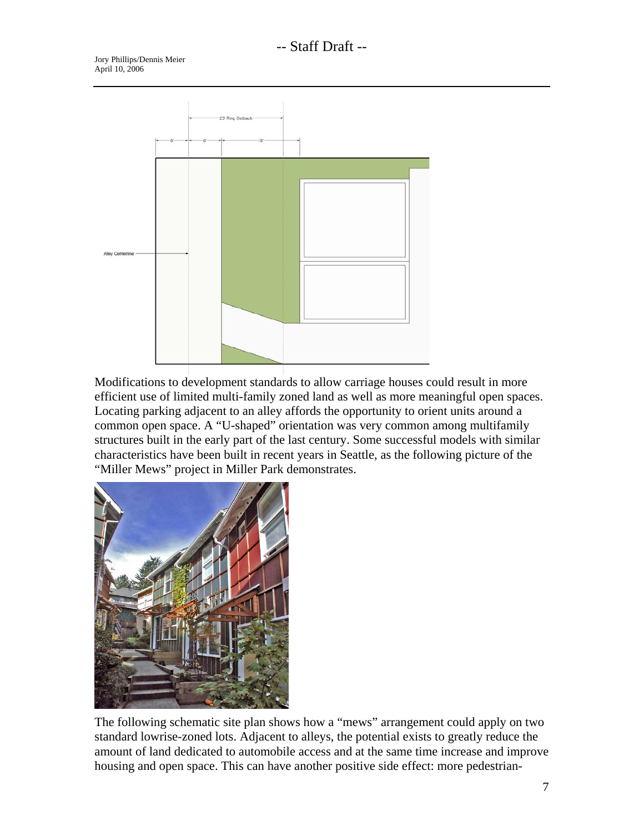

Modifications to development standards to allow carriage houses could result in more efficient use of limited multi-family zoned land as well as more meaningful open spaces. Locating parking adjacent to an alley affords the opportunity to orient units around a common open space. A "U-shaped" orientation was very common among multifamily structures built in the early part of the last century. Some successful models with similar characteristics have been built in recent years in Seattle, as the following picture of the "Miller Mews" project in Miller Park demonstrates.



The following schematic site plan shows how a "mews" arrangement could apply on two standard lowrise-zoned lots. Adjacent to alleys, the potential exists to greatly reduce the amount of land dedicated to automobile access and at the same time increase and improve housing and open space. This can have another positive side effect: more pedestrian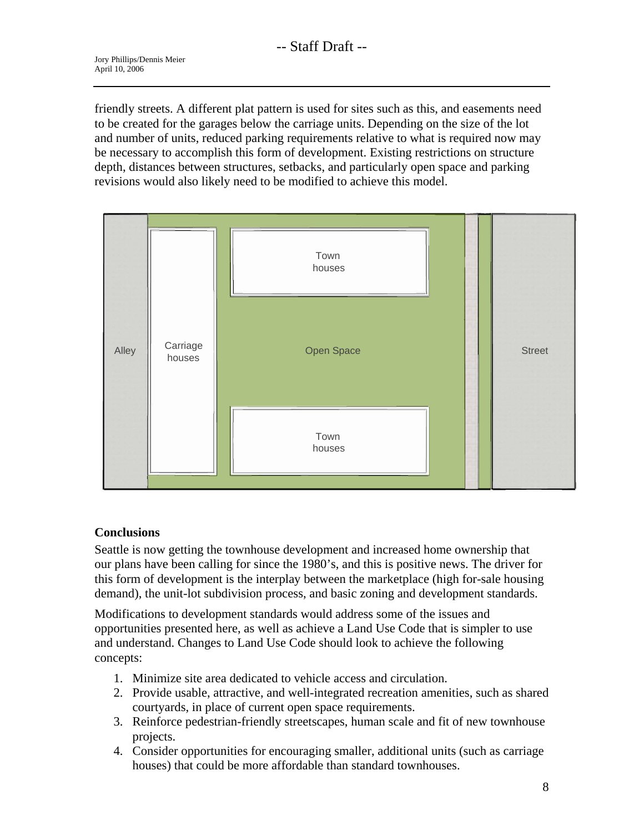friendly streets. A different plat pattern is used for sites such as this, and easements need to be created for the garages below the carriage units. Depending on the size of the lot and number of units, reduced parking requirements relative to what is required now may be necessary to accomplish this form of development. Existing restrictions on structure depth, distances between structures, setbacks, and particularly open space and parking revisions would also likely need to be modified to achieve this model.



# **Conclusions**

Seattle is now getting the townhouse development and increased home ownership that our plans have been calling for since the 1980's, and this is positive news. The driver for this form of development is the interplay between the marketplace (high for-sale housing demand), the unit-lot subdivision process, and basic zoning and development standards.

Modifications to development standards would address some of the issues and opportunities presented here, as well as achieve a Land Use Code that is simpler to use and understand. Changes to Land Use Code should look to achieve the following concepts:

- 1. Minimize site area dedicated to vehicle access and circulation.
- 2. Provide usable, attractive, and well-integrated recreation amenities, such as shared courtyards, in place of current open space requirements.
- 3. Reinforce pedestrian-friendly streetscapes, human scale and fit of new townhouse projects.
- 4. Consider opportunities for encouraging smaller, additional units (such as carriage houses) that could be more affordable than standard townhouses.